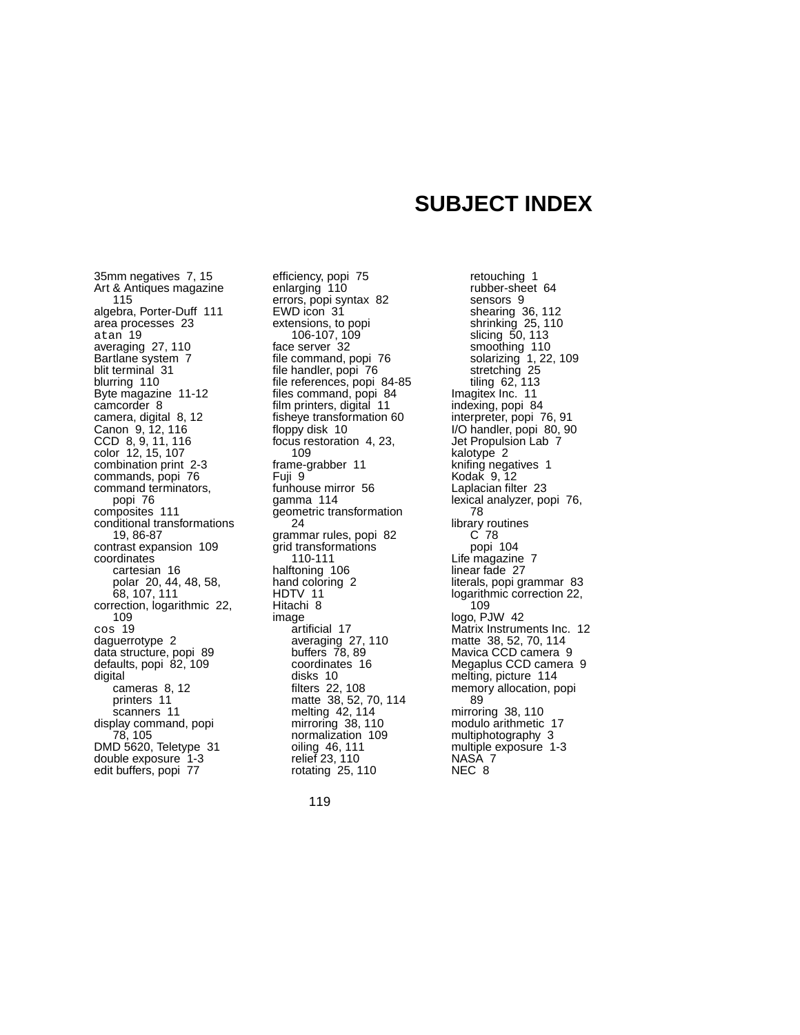## **SUBJECT INDEX**

35mm negatives 7, 15 Art & Antiques magazine 115 algebra, Porter-Duff 111 area processes 23 atan 19 averaging 27, 110 Bartlane system 7 blit terminal 31 blurring 110 Byte magazine 11-12 camcorder 8 camera, digital 8, 12 Canon 9, 12, 116 CCD 8, 9, 11, 116 color 12, 15, 107 combination print 2-3 commands, popi 76 command terminators, popi 76 composites 111 conditional transfor mations 19, 86-87 contrast expansion 109 coordinates cartesian 16 polar 20, 44, 48, 58, 68, 107, 111 correction, logarithmic 22, 109 cos 19 daguerrotype 2 data structure, popi 89 defaults, popi 82, 109 digital cameras 8, 12 printers 11 scanners 11 display command, popi 78, 105 DMD 5620, Teletype 31 double exposure 1-3 edit buffers, popi 77

efficiency, popi 75 enlarging 110 errors, popi syntax 82 EWD icon 31 extensions, to popi 106-107, 109 face server 32 file command, popi 76 file handler, popi 76 file references, popi 84-85 files command, popi 84 film printers, digital 11 fisheye transformation 60 floppy disk 10 focus restoration 4, 23, 109 frame-grabber 11 Fuji 9 funhouse mirror 56 gamma 114 geometric transformation 24 grammar rules, popi 82 grid transformations 110-111 halftoning 106 hand coloring 2 HDTV 11 Hitachi 8 image ar tificial 17 averaging 27, 110 buffers 78, 89 coordinates 16 disks 10 filters 22, 108 matte 38, 52, 70, 114 melting 42, 114 mirroring 38, 110 normalization 109 oiling 46, 111 relief 23, 110 rotating 25, 110

retouching 1 rubber-sheet 64 sensors 9 shearing 36, 112 shrinking 25, 110 slicing 50, 113 smoothing 110 solarizing 1, 22, 109 stretching 25 tiling 62, 113 Imagitex Inc. 11 indexing, popi 84 interpreter, popi 76, 91 I/O handler, popi 80, 90 Jet Propulsion Lab 7 kalotype 2 knifing negatives 1 Kodak 9, 12 Laplacian filter 23 lexical analyzer, popi 76, 78 library routines C 78 popi 104 Life magazine 7 linear fade 27 literals, popi grammar 83 logarithmic correction 22, 109 logo, PJW 42 Matrix Instruments Inc. 12 matte 38, 52, 70, 114 Mavica CCD camera 9 Megaplus CCD camera 9 melting, picture 114 memory allocation, popi 89 mirroring 38, 110 modulo arithmetic 17 multiphotography 3 multiple exposure 1-3 NASA 7 NEC 8

119